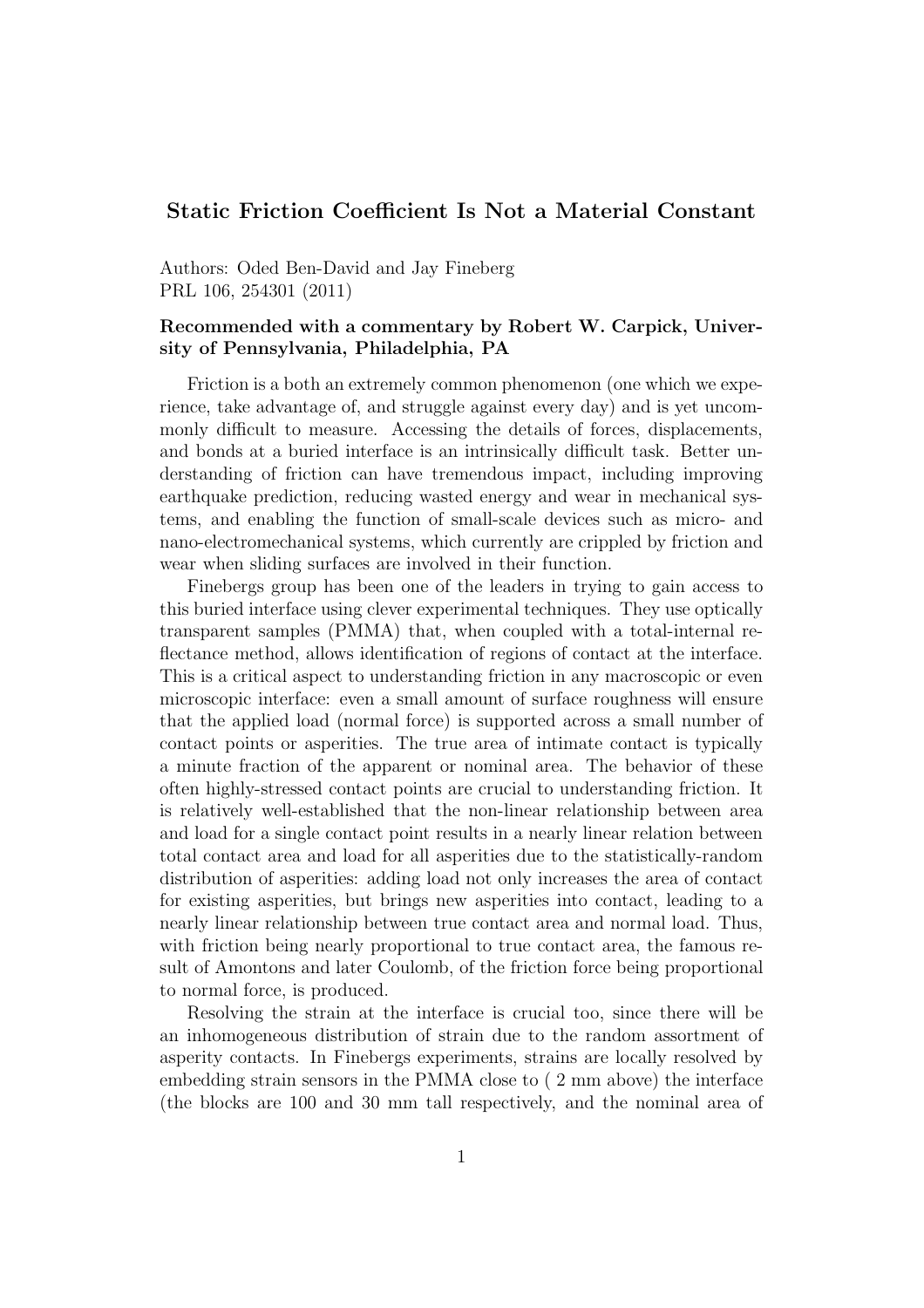## Static Friction Coefficient Is Not a Material Constant

Authors: Oded Ben-David and Jay Fineberg PRL 106, 254301 (2011)

## Recommended with a commentary by Robert W. Carpick, University of Pennsylvania, Philadelphia, PA

Friction is a both an extremely common phenomenon (one which we experience, take advantage of, and struggle against every day) and is yet uncommonly difficult to measure. Accessing the details of forces, displacements, and bonds at a buried interface is an intrinsically difficult task. Better understanding of friction can have tremendous impact, including improving earthquake prediction, reducing wasted energy and wear in mechanical systems, and enabling the function of small-scale devices such as micro- and nano-electromechanical systems, which currently are crippled by friction and wear when sliding surfaces are involved in their function.

Finebergs group has been one of the leaders in trying to gain access to this buried interface using clever experimental techniques. They use optically transparent samples (PMMA) that, when coupled with a total-internal reflectance method, allows identification of regions of contact at the interface. This is a critical aspect to understanding friction in any macroscopic or even microscopic interface: even a small amount of surface roughness will ensure that the applied load (normal force) is supported across a small number of contact points or asperities. The true area of intimate contact is typically a minute fraction of the apparent or nominal area. The behavior of these often highly-stressed contact points are crucial to understanding friction. It is relatively well-established that the non-linear relationship between area and load for a single contact point results in a nearly linear relation between total contact area and load for all asperities due to the statistically-random distribution of asperities: adding load not only increases the area of contact for existing asperities, but brings new asperities into contact, leading to a nearly linear relationship between true contact area and normal load. Thus, with friction being nearly proportional to true contact area, the famous result of Amontons and later Coulomb, of the friction force being proportional to normal force, is produced.

Resolving the strain at the interface is crucial too, since there will be an inhomogeneous distribution of strain due to the random assortment of asperity contacts. In Finebergs experiments, strains are locally resolved by embedding strain sensors in the PMMA close to ( 2 mm above) the interface (the blocks are 100 and 30 mm tall respectively, and the nominal area of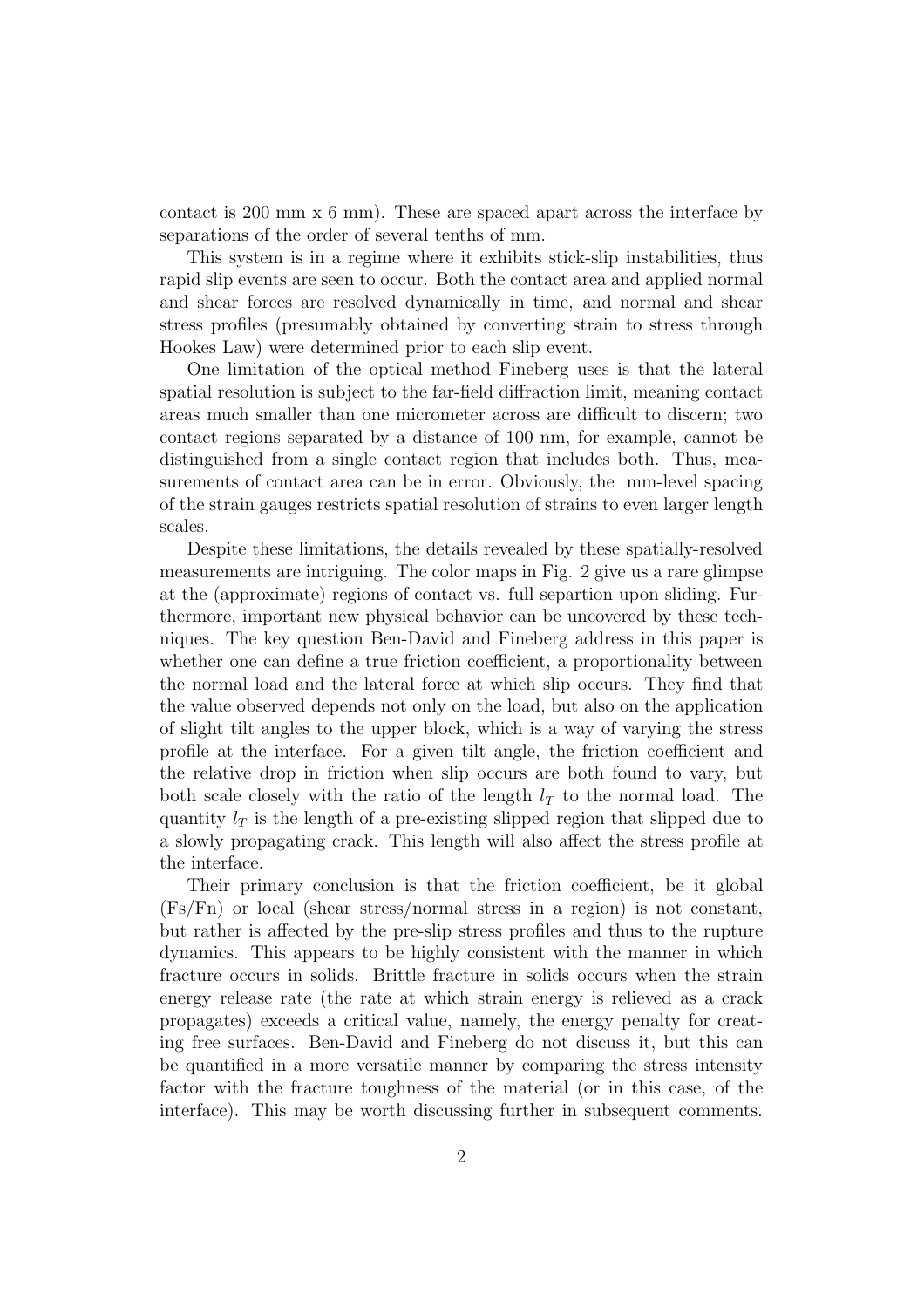contact is 200 mm  $\times$  6 mm). These are spaced apart across the interface by separations of the order of several tenths of mm.

This system is in a regime where it exhibits stick-slip instabilities, thus rapid slip events are seen to occur. Both the contact area and applied normal and shear forces are resolved dynamically in time, and normal and shear stress profiles (presumably obtained by converting strain to stress through Hookes Law) were determined prior to each slip event.

One limitation of the optical method Fineberg uses is that the lateral spatial resolution is subject to the far-field diffraction limit, meaning contact areas much smaller than one micrometer across are difficult to discern; two contact regions separated by a distance of 100 nm, for example, cannot be distinguished from a single contact region that includes both. Thus, measurements of contact area can be in error. Obviously, the mm-level spacing of the strain gauges restricts spatial resolution of strains to even larger length scales.

Despite these limitations, the details revealed by these spatially-resolved measurements are intriguing. The color maps in Fig. 2 give us a rare glimpse at the (approximate) regions of contact vs. full separtion upon sliding. Furthermore, important new physical behavior can be uncovered by these techniques. The key question Ben-David and Fineberg address in this paper is whether one can define a true friction coefficient, a proportionality between the normal load and the lateral force at which slip occurs. They find that the value observed depends not only on the load, but also on the application of slight tilt angles to the upper block, which is a way of varying the stress profile at the interface. For a given tilt angle, the friction coefficient and the relative drop in friction when slip occurs are both found to vary, but both scale closely with the ratio of the length  $l_T$  to the normal load. The quantity  $l_T$  is the length of a pre-existing slipped region that slipped due to a slowly propagating crack. This length will also affect the stress profile at the interface.

Their primary conclusion is that the friction coefficient, be it global (Fs/Fn) or local (shear stress/normal stress in a region) is not constant, but rather is affected by the pre-slip stress profiles and thus to the rupture dynamics. This appears to be highly consistent with the manner in which fracture occurs in solids. Brittle fracture in solids occurs when the strain energy release rate (the rate at which strain energy is relieved as a crack propagates) exceeds a critical value, namely, the energy penalty for creating free surfaces. Ben-David and Fineberg do not discuss it, but this can be quantified in a more versatile manner by comparing the stress intensity factor with the fracture toughness of the material (or in this case, of the interface). This may be worth discussing further in subsequent comments.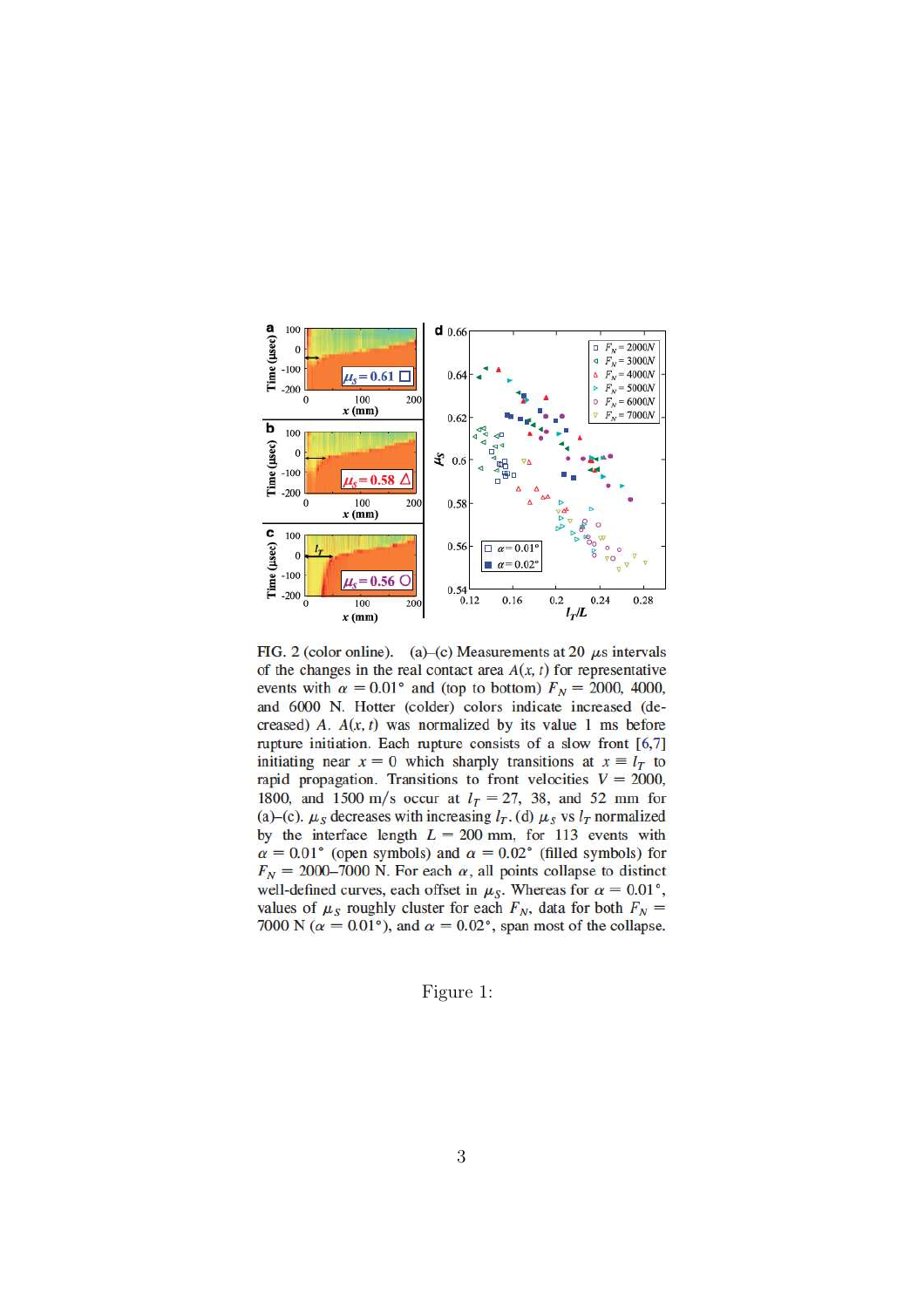

FIG. 2 (color online). (a)–(c) Measurements at 20  $\mu$ s intervals of the changes in the real contact area  $A(x, t)$  for representative events with  $\alpha = 0.01$ ° and (top to bottom)  $F_N = 2000, 4000,$ and 6000 N. Hotter (colder) colors indicate increased (decreased) A.  $A(x, t)$  was normalized by its value 1 ms before rupture initiation. Each rupture consists of a slow front [6,7] initiating near  $x = 0$  which sharply transitions at  $x \equiv l_T$  to rapid propagation. Transitions to front velocities  $V = 2000$ , 1800, and 1500 m/s occur at  $l_T = 27$ , 38, and 52 mm for (a)–(c).  $\mu_S$  decreases with increasing  $l_T$ . (d)  $\mu_S$  vs  $l_T$  normalized by the interface length  $L = 200$  mm, for 113 events with  $\alpha = 0.01$ ° (open symbols) and  $\alpha = 0.02$ ° (filled symbols) for  $F_N = 2000-7000$  N. For each  $\alpha$ , all points collapse to distinct well-defined curves, each offset in  $\mu_S$ . Whereas for  $\alpha = 0.01^{\circ}$ , values of  $\mu_S$  roughly cluster for each  $F_N$ , data for both  $F_N$  = 7000 N ( $\alpha = 0.01^{\circ}$ ), and  $\alpha = 0.02^{\circ}$ , span most of the collapse.

## Figure 1: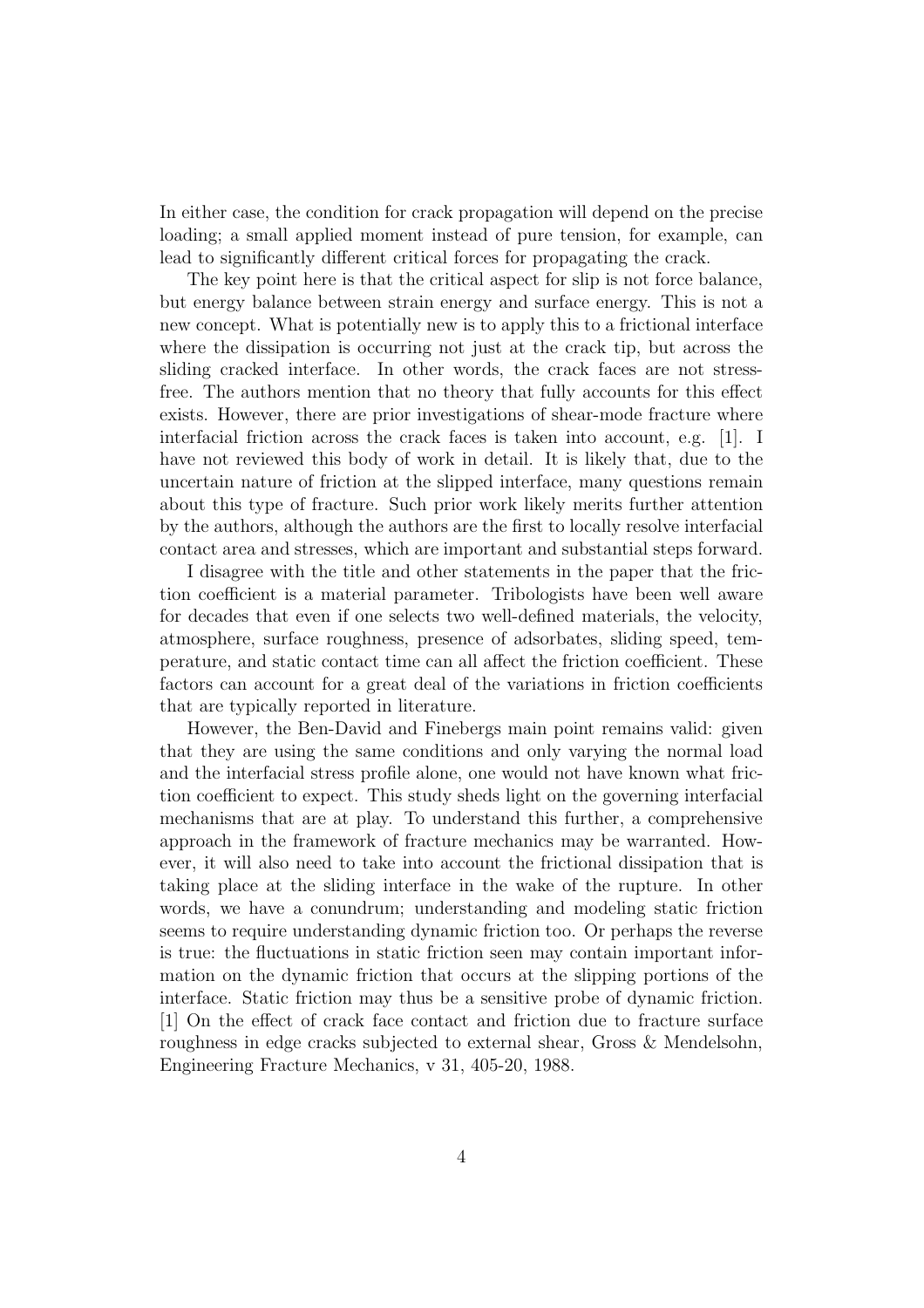In either case, the condition for crack propagation will depend on the precise loading; a small applied moment instead of pure tension, for example, can lead to significantly different critical forces for propagating the crack.

The key point here is that the critical aspect for slip is not force balance, but energy balance between strain energy and surface energy. This is not a new concept. What is potentially new is to apply this to a frictional interface where the dissipation is occurring not just at the crack tip, but across the sliding cracked interface. In other words, the crack faces are not stressfree. The authors mention that no theory that fully accounts for this effect exists. However, there are prior investigations of shear-mode fracture where interfacial friction across the crack faces is taken into account, e.g. [1]. I have not reviewed this body of work in detail. It is likely that, due to the uncertain nature of friction at the slipped interface, many questions remain about this type of fracture. Such prior work likely merits further attention by the authors, although the authors are the first to locally resolve interfacial contact area and stresses, which are important and substantial steps forward.

I disagree with the title and other statements in the paper that the friction coefficient is a material parameter. Tribologists have been well aware for decades that even if one selects two well-defined materials, the velocity, atmosphere, surface roughness, presence of adsorbates, sliding speed, temperature, and static contact time can all affect the friction coefficient. These factors can account for a great deal of the variations in friction coefficients that are typically reported in literature.

However, the Ben-David and Finebergs main point remains valid: given that they are using the same conditions and only varying the normal load and the interfacial stress profile alone, one would not have known what friction coefficient to expect. This study sheds light on the governing interfacial mechanisms that are at play. To understand this further, a comprehensive approach in the framework of fracture mechanics may be warranted. However, it will also need to take into account the frictional dissipation that is taking place at the sliding interface in the wake of the rupture. In other words, we have a conundrum; understanding and modeling static friction seems to require understanding dynamic friction too. Or perhaps the reverse is true: the fluctuations in static friction seen may contain important information on the dynamic friction that occurs at the slipping portions of the interface. Static friction may thus be a sensitive probe of dynamic friction. [1] On the effect of crack face contact and friction due to fracture surface roughness in edge cracks subjected to external shear, Gross & Mendelsohn, Engineering Fracture Mechanics, v 31, 405-20, 1988.